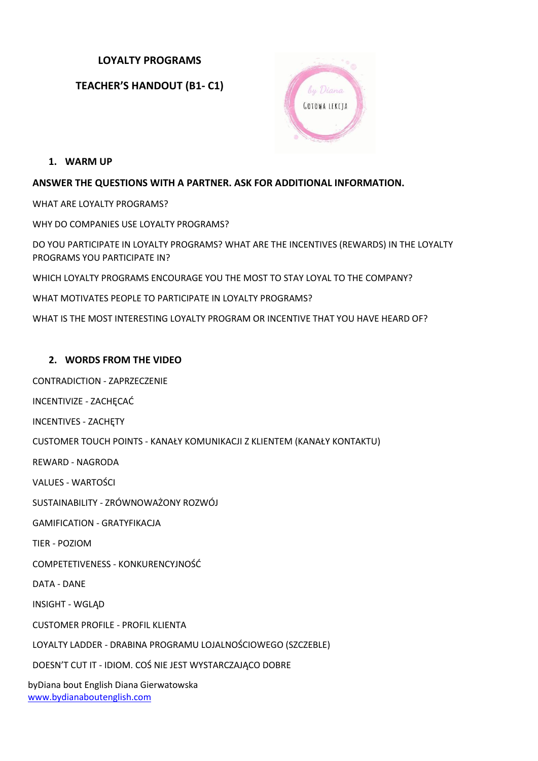# **LOYALTY PROGRAMS**

**TEACHER'S HANDOUT (B1- C1)**



**1. WARM UP**

### **ANSWER THE QUESTIONS WITH A PARTNER. ASK FOR ADDITIONAL INFORMATION.**

WHAT ARE LOYALTY PROGRAMS?

WHY DO COMPANIES USE LOYALTY PROGRAMS?

DO YOU PARTICIPATE IN LOYALTY PROGRAMS? WHAT ARE THE INCENTIVES (REWARDS) IN THE LOYALTY PROGRAMS YOU PARTICIPATE IN?

WHICH LOYALTY PROGRAMS ENCOURAGE YOU THE MOST TO STAY LOYAL TO THE COMPANY?

WHAT MOTIVATES PEOPLE TO PARTICIPATE IN LOYALTY PROGRAMS?

WHAT IS THE MOST INTERESTING LOYALTY PROGRAM OR INCENTIVE THAT YOU HAVE HEARD OF?

### **2. WORDS FROM THE VIDEO**

CONTRADICTION - ZAPRZECZENIE

INCENTIVIZE - ZACHECAĆ

INCENTIVES - ZACHĘTY

CUSTOMER TOUCH POINTS - KANAŁY KOMUNIKACJI Z KLIENTEM (KANAŁY KONTAKTU)

REWARD - NAGRODA

VALUES - WARTOŚCI

SUSTAINABILITY - ZRÓWNOWAŻONY ROZWÓJ

GAMIFICATION - GRATYFIKACJA

TIER - POZIOM

COMPETETIVENESS - KONKURENCYJNOŚĆ

DATA - DANE

INSIGHT - WGLĄD

CUSTOMER PROFILE - PROFIL KLIENTA

LOYALTY LADDER - DRABINA PROGRAMU LOJALNOŚCIOWEGO (SZCZEBLE)

DOESN'T CUT IT - IDIOM. COŚ NIE JEST WYSTARCZAJĄCO DOBRE

byDiana bout English Diana Gierwatowska <www.bydianaboutenglish.com>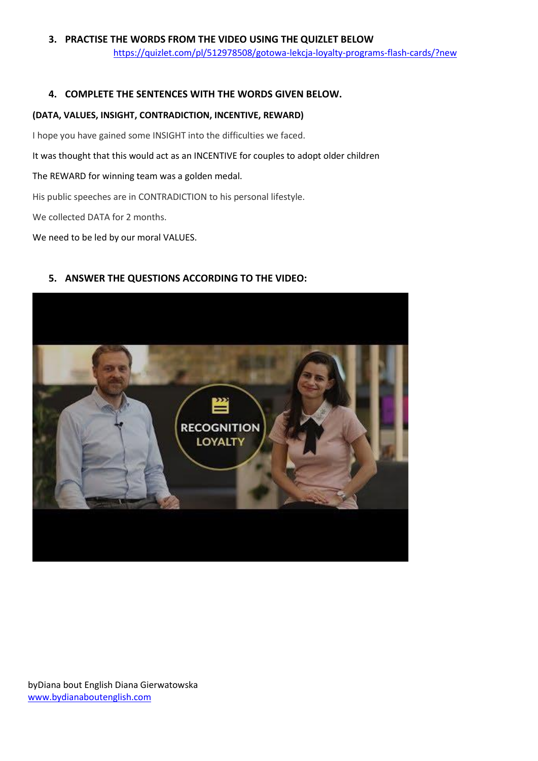# **3. PRACTISE THE WORDS FROM THE VIDEO USING THE QUIZLET BELOW** <https://quizlet.com/pl/512978508/gotowa-lekcja-loyalty-programs-flash-cards/?new>

# **4. COMPLETE THE SENTENCES WITH THE WORDS GIVEN BELOW.**

#### **(DATA, VALUES, INSIGHT, CONTRADICTION, INCENTIVE, REWARD)**

I hope you have gained some INSIGHT into the difficulties we faced.

It was thought that this would act as an INCENTIVE for couples to adopt older children

The REWARD for winning team was a golden medal.

His public speeches are in CONTRADICTION to his personal lifestyle.

We collected DATA for 2 months.

We need to be led by our moral VALUES.

# **5. ANSWER THE QUESTIONS ACCORDING TO THE VIDEO:**



byDiana bout English Diana Gierwatowska <www.bydianaboutenglish.com>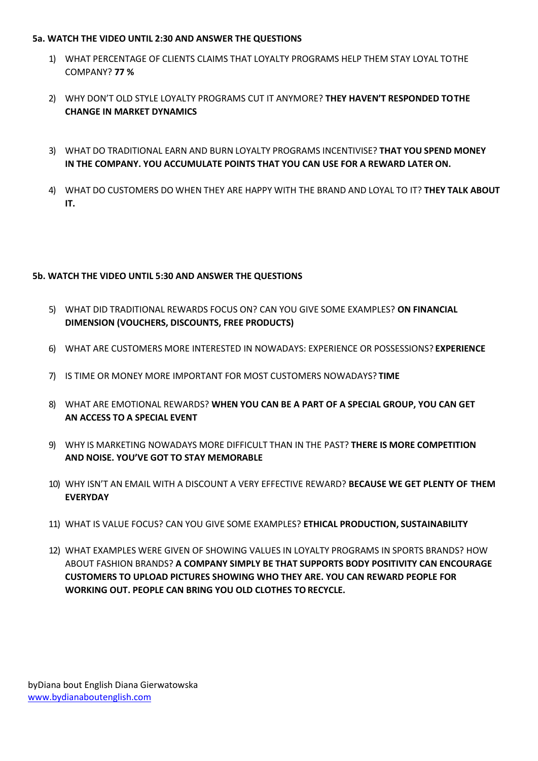#### **5a. WATCH THE VIDEO UNTIL 2:30 AND ANSWER THE QUESTIONS**

- 1) WHAT PERCENTAGE OF CLIENTS CLAIMS THAT LOYALTY PROGRAMS HELP THEM STAY LOYAL TOTHE COMPANY? **77 %**
- 2) WHY DON'T OLD STYLE LOYALTY PROGRAMS CUT IT ANYMORE? **THEY HAVEN'T RESPONDED TOTHE CHANGE IN MARKET DYNAMICS**
- 3) WHAT DO TRADITIONAL EARN AND BURN LOYALTY PROGRAMS INCENTIVISE? **THAT YOU SPEND MONEY IN THE COMPANY. YOU ACCUMULATE POINTS THAT YOU CAN USE FOR A REWARD LATER ON.**
- 4) WHAT DO CUSTOMERS DO WHEN THEY ARE HAPPY WITH THE BRAND AND LOYAL TO IT? **THEY TALK ABOUT IT.**

# **5b. WATCH THE VIDEO UNTIL 5:30 AND ANSWER THE QUESTIONS**

- 5) WHAT DID TRADITIONAL REWARDS FOCUS ON? CAN YOU GIVE SOME EXAMPLES? **ON FINANCIAL DIMENSION (VOUCHERS, DISCOUNTS, FREE PRODUCTS)**
- 6) WHAT ARE CUSTOMERS MORE INTERESTED IN NOWADAYS: EXPERIENCE OR POSSESSIONS? **EXPERIENCE**
- 7) IS TIME OR MONEY MORE IMPORTANT FOR MOST CUSTOMERS NOWADAYS? **TIME**
- 8) WHAT ARE EMOTIONAL REWARDS? **WHEN YOU CAN BE A PART OF A SPECIAL GROUP, YOU CAN GET AN ACCESS TO A SPECIAL EVENT**
- 9) WHY IS MARKETING NOWADAYS MORE DIFFICULT THAN IN THE PAST? **THERE IS MORE COMPETITION AND NOISE. YOU'VE GOT TO STAY MEMORABLE**
- 10) WHY ISN'T AN EMAIL WITH A DISCOUNT A VERY EFFECTIVE REWARD? **BECAUSE WE GET PLENTY OF THEM EVERYDAY**
- 11) WHAT IS VALUE FOCUS? CAN YOU GIVE SOME EXAMPLES? **ETHICAL PRODUCTION, SUSTAINABILITY**
- 12) WHAT EXAMPLES WERE GIVEN OF SHOWING VALUES IN LOYALTY PROGRAMS IN SPORTS BRANDS? HOW ABOUT FASHION BRANDS? **A COMPANY SIMPLY BE THAT SUPPORTS BODY POSITIVITY CAN ENCOURAGE CUSTOMERS TO UPLOAD PICTURES SHOWING WHO THEY ARE. YOU CAN REWARD PEOPLE FOR WORKING OUT. PEOPLE CAN BRING YOU OLD CLOTHES TORECYCLE.**